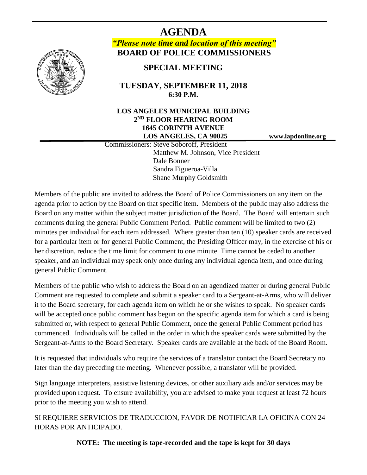

**AGENDA** *"Please note time and location of this meeting"* **BOARD OF POLICE COMMISSIONERS**

**SPECIAL MEETING**

# **TUESDAY, SEPTEMBER 11, 2018 6:30 P.M.**

# **LOS ANGELES MUNICIPAL BUILDING 2 ND FLOOR HEARING ROOM 1645 CORINTH AVENUE LOS ANGELES, CA 90025 www.lapdonline.org**

 Commissioners: Steve Soboroff, President Matthew M. Johnson, Vice President Dale Bonner Sandra Figueroa-Villa Shane Murphy Goldsmith

Members of the public are invited to address the Board of Police Commissioners on any item on the agenda prior to action by the Board on that specific item. Members of the public may also address the Board on any matter within the subject matter jurisdiction of the Board. The Board will entertain such comments during the general Public Comment Period. Public comment will be limited to two (2) minutes per individual for each item addressed. Where greater than ten (10) speaker cards are received for a particular item or for general Public Comment, the Presiding Officer may, in the exercise of his or her discretion, reduce the time limit for comment to one minute. Time cannot be ceded to another speaker, and an individual may speak only once during any individual agenda item, and once during general Public Comment.

Members of the public who wish to address the Board on an agendized matter or during general Public Comment are requested to complete and submit a speaker card to a Sergeant-at-Arms, who will deliver it to the Board secretary, for each agenda item on which he or she wishes to speak. No speaker cards will be accepted once public comment has begun on the specific agenda item for which a card is being submitted or, with respect to general Public Comment, once the general Public Comment period has commenced. Individuals will be called in the order in which the speaker cards were submitted by the Sergeant-at-Arms to the Board Secretary. Speaker cards are available at the back of the Board Room.

It is requested that individuals who require the services of a translator contact the Board Secretary no later than the day preceding the meeting. Whenever possible, a translator will be provided.

Sign language interpreters, assistive listening devices, or other auxiliary aids and/or services may be provided upon request. To ensure availability, you are advised to make your request at least 72 hours prior to the meeting you wish to attend.

SI REQUIERE SERVICIOS DE TRADUCCION, FAVOR DE NOTIFICAR LA OFICINA CON 24 HORAS POR ANTICIPADO.

**NOTE: The meeting is tape-recorded and the tape is kept for 30 days**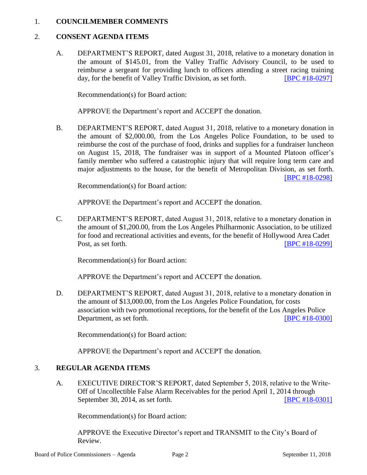#### 1. **COUNCILMEMBER COMMENTS**

#### 2. **CONSENT AGENDA ITEMS**

A. DEPARTMENT'S REPORT, dated August 31, 2018, relative to a monetary donation in the amount of \$145.01, from the Valley Traffic Advisory Council, to be used to reimburse a sergeant for providing lunch to officers attending a street racing training day, for the benefit of Valley Traffic Division, as set forth. **[\[BPC #18-0297\]](http://www.lapdpolicecom.lacity.org/091118/BPC_18-0297.pdf)** 

Recommendation(s) for Board action:

APPROVE the Department's report and ACCEPT the donation.

B. DEPARTMENT'S REPORT, dated August 31, 2018, relative to a monetary donation in the amount of \$2,000.00, from the Los Angeles Police Foundation, to be used to reimburse the cost of the purchase of food, drinks and supplies for a fundraiser luncheon on August 15, 2018, The fundraiser was in support of a Mounted Platoon officer's family member who suffered a catastrophic injury that will require long term care and major adjustments to the house, for the benefit of Metropolitan Division, as set forth. [\[BPC #18-0298\]](http://www.lapdpolicecom.lacity.org/091118/BPC_18-0298.pdf)

Recommendation(s) for Board action:

APPROVE the Department's report and ACCEPT the donation.

C. DEPARTMENT'S REPORT, dated August 31, 2018, relative to a monetary donation in the amount of \$1,200.00, from the Los Angeles Philharmonic Association, to be utilized for food and recreational activities and events, for the benefit of Hollywood Area Cadet Post, as set forth. [\[BPC #18-0299\]](http://www.lapdpolicecom.lacity.org/091118/BPC_18-0299.pdf)

Recommendation(s) for Board action:

APPROVE the Department's report and ACCEPT the donation.

D. DEPARTMENT'S REPORT, dated August 31, 2018, relative to a monetary donation in the amount of \$13,000.00, from the Los Angeles Police Foundation, for costs association with two promotional receptions, for the benefit of the Los Angeles Police Department, as set forth. **IDED EXECUTE:** [\[BPC #18-0300\]](http://www.lapdpolicecom.lacity.org/091118/BPC_18-0300.pdf)

Recommendation(s) for Board action:

APPROVE the Department's report and ACCEPT the donation.

# 3. **REGULAR AGENDA ITEMS**

A. EXECUTIVE DIRECTOR'S REPORT, dated September 5, 2018, relative to the Write-Off of Uncollectible False Alarm Receivables for the period April 1, 2014 through September 30, 2014, as set forth. **[\[BPC #18-0301\]](http://www.lapdpolicecom.lacity.org/091118/BPC_18-0301.pdf)** 

Recommendation(s) for Board action:

APPROVE the Executive Director's report and TRANSMIT to the City's Board of Review.